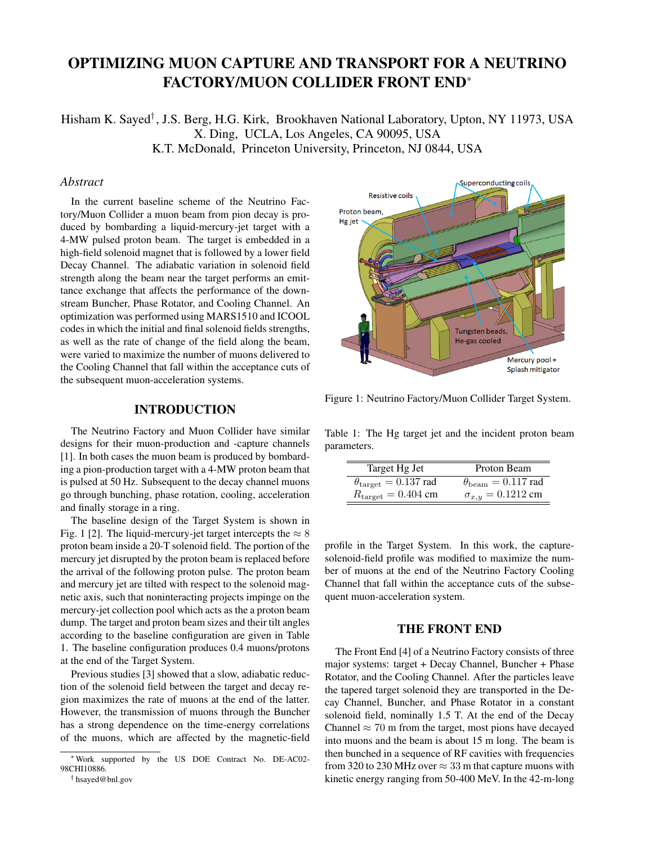# OPTIMIZING MUON CAPTURE AND TRANSPORT FOR A NEUTRINO FACTORY/MUON COLLIDER FRONT END<sup>∗</sup>

Hisham K. Sayed† , J.S. Berg, H.G. Kirk, Brookhaven National Laboratory, Upton, NY 11973, USA X. Ding, UCLA, Los Angeles, CA 90095, USA K.T. McDonald, Princeton University, Princeton, NJ 0844, USA

#### *Abstract*

In the current baseline scheme of the Neutrino Factory/Muon Collider a muon beam from pion decay is produced by bombarding a liquid-mercury-jet target with a 4-MW pulsed proton beam. The target is embedded in a high-field solenoid magnet that is followed by a lower field Decay Channel. The adiabatic variation in solenoid field strength along the beam near the target performs an emittance exchange that affects the performance of the downstream Buncher, Phase Rotator, and Cooling Channel. An optimization was performed using MARS1510 and ICOOL codes in which the initial and final solenoid fields strengths, as well as the rate of change of the field along the beam, were varied to maximize the number of muons delivered to the Cooling Channel that fall within the acceptance cuts of the subsequent muon-acceleration systems.

### INTRODUCTION

The Neutrino Factory and Muon Collider have similar designs for their muon-production and -capture channels [1]. In both cases the muon beam is produced by bombarding a pion-production target with a 4-MW proton beam that is pulsed at 50 Hz. Subsequent to the decay channel muons go through bunching, phase rotation, cooling, acceleration and finally storage in a ring.

The baseline design of the Target System is shown in Fig. 1 [2]. The liquid-mercury-jet target intercepts the  $\approx 8$ proton beam inside a 20-T solenoid field. The portion of the mercury jet disrupted by the proton beam is replaced before the arrival of the following proton pulse. The proton beam and mercury jet are tilted with respect to the solenoid magnetic axis, such that noninteracting projects impinge on the mercury-jet collection pool which acts as the a proton beam dump. The target and proton beam sizes and their tilt angles according to the baseline configuration are given in Table 1. The baseline configuration produces 0.4 muons/protons at the end of the Target System.

Previous studies [3] showed that a slow, adiabatic reduction of the solenoid field between the target and decay region maximizes the rate of muons at the end of the latter. However, the transmission of muons through the Buncher has a strong dependence on the time-energy correlations of the muons, which are affected by the magnetic-field



Figure 1: Neutrino Factory/Muon Collider Target System.

Table 1: The Hg target jet and the incident proton beam parameters.

| Target Hg Jet                                | Proton Beam                        |
|----------------------------------------------|------------------------------------|
| $\theta_{\text{target}} = 0.137 \text{ rad}$ | $\theta_{\rm beam} = 0.117$ rad    |
| $R_{\text{target}} = 0.404 \text{ cm}$       | $\sigma_{x,y} = 0.1212 \text{ cm}$ |

profile in the Target System. In this work, the capturesolenoid-field profile was modified to maximize the number of muons at the end of the Neutrino Factory Cooling Channel that fall within the acceptance cuts of the subsequent muon-acceleration system.

#### THE FRONT END

The Front End [4] of a Neutrino Factory consists of three major systems: target + Decay Channel, Buncher + Phase Rotator, and the Cooling Channel. After the particles leave the tapered target solenoid they are transported in the Decay Channel, Buncher, and Phase Rotator in a constant solenoid field, nominally 1.5 T. At the end of the Decay Channel  $\approx$  70 m from the target, most pions have decayed into muons and the beam is about 15 m long. The beam is then bunched in a sequence of RF cavities with frequencies from 320 to 230 MHz over  $\approx 33$  m that capture muons with kinetic energy ranging from 50-400 MeV. In the 42-m-long

<sup>∗</sup>Work supported by the US DOE Contract No. DE-AC02- 98CHI10886.

<sup>†</sup> hsayed@bnl.gov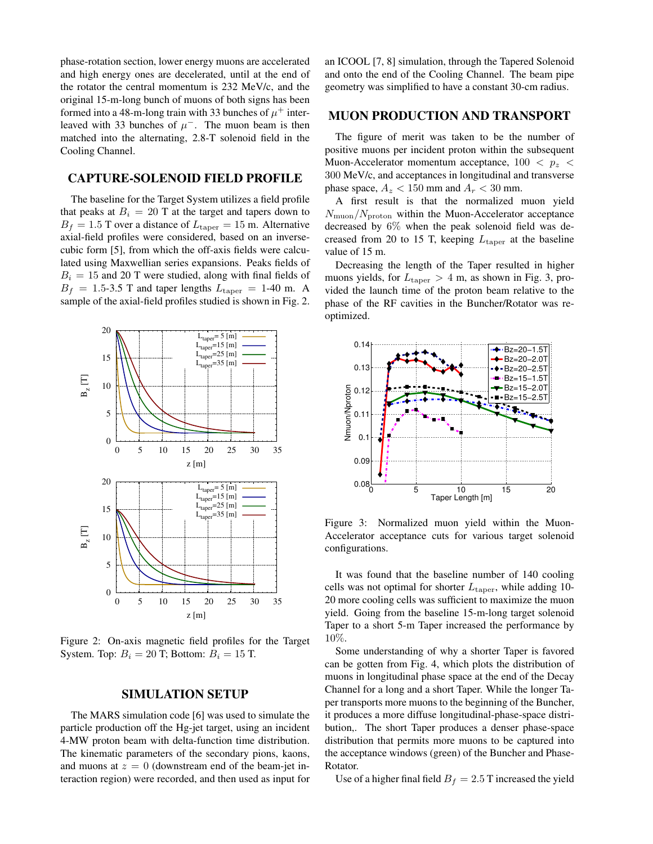phase-rotation section, lower energy muons are accelerated and high energy ones are decelerated, until at the end of the rotator the central momentum is 232 MeV/c, and the original 15-m-long bunch of muons of both signs has been formed into a 48-m-long train with 33 bunches of  $\mu^+$  interleaved with 33 bunches of  $\mu^-$ . The muon beam is then matched into the alternating, 2.8-T solenoid field in the Cooling Channel.

## CAPTURE-SOLENOID FIELD PROFILE

The baseline for the Target System utilizes a field profile that peaks at  $B_i = 20$  T at the target and tapers down to  $B_f = 1.5$  T over a distance of  $L_{\text{taper}} = 15$  m. Alternative axial-field profiles were considered, based on an inversecubic form [5], from which the off-axis fields were calculated using Maxwellian series expansions. Peaks fields of  $B_i = 15$  and 20 T were studied, along with final fields of  $B_f = 1.5$ -3.5 T and taper lengths  $L_{\text{taper}} = 1$ -40 m. A sample of the axial-field profiles studied is shown in Fig. 2.



Figure 2: On-axis magnetic field profiles for the Target System. Top:  $B_i = 20$  T; Bottom:  $B_i = 15$  T.

#### SIMULATION SETUP

The MARS simulation code [6] was used to simulate the particle production off the Hg-jet target, using an incident 4-MW proton beam with delta-function time distribution. The kinematic parameters of the secondary pions, kaons, and muons at  $z = 0$  (downstream end of the beam-jet interaction region) were recorded, and then used as input for an ICOOL [7, 8] simulation, through the Tapered Solenoid and onto the end of the Cooling Channel. The beam pipe geometry was simplified to have a constant 30-cm radius.

#### MUON PRODUCTION AND TRANSPORT

The figure of merit was taken to be the number of positive muons per incident proton within the subsequent Muon-Accelerator momentum acceptance,  $100 < p<sub>z</sub>$ 300 MeV/c, and acceptances in longitudinal and transverse phase space,  $A_z < 150$  mm and  $A_r < 30$  mm.

A first result is that the normalized muon yield  $N_{\text{muon}}/N_{\text{proton}}$  within the Muon-Accelerator acceptance decreased by 6% when the peak solenoid field was decreased from 20 to 15 T, keeping  $L_{\text{taper}}$  at the baseline value of 15 m.

Decreasing the length of the Taper resulted in higher muons yields, for  $L_{\text{taper}} > 4$  m, as shown in Fig. 3, provided the launch time of the proton beam relative to the phase of the RF cavities in the Buncher/Rotator was reoptimized.



Figure 3: Normalized muon yield within the Muon-Accelerator acceptance cuts for various target solenoid configurations.

It was found that the baseline number of 140 cooling cells was not optimal for shorter  $L_{\text{taper}}$ , while adding 10-20 more cooling cells was sufficient to maximize the muon yield. Going from the baseline 15-m-long target solenoid Taper to a short 5-m Taper increased the performance by 10%.

Some understanding of why a shorter Taper is favored can be gotten from Fig. 4, which plots the distribution of muons in longitudinal phase space at the end of the Decay Channel for a long and a short Taper. While the longer Taper transports more muons to the beginning of the Buncher, it produces a more diffuse longitudinal-phase-space distribution,. The short Taper produces a denser phase-space distribution that permits more muons to be captured into the acceptance windows (green) of the Buncher and Phase-Rotator.

Use of a higher final field  $B_f = 2.5$  T increased the yield